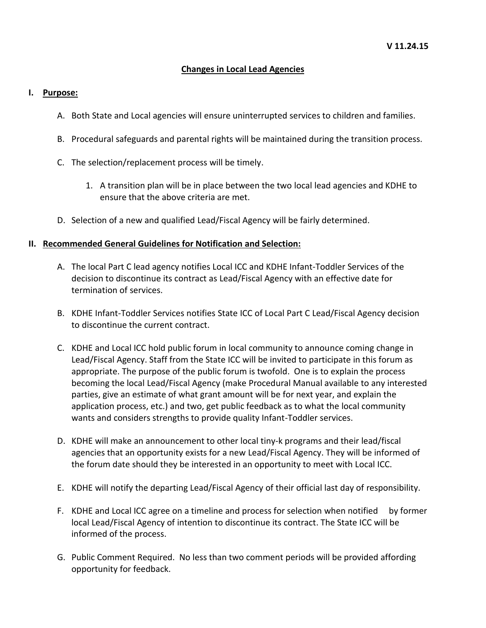### **Changes in Local Lead Agencies**

#### **I. Purpose:**

- A. Both State and Local agencies will ensure uninterrupted services to children and families.
- B. Procedural safeguards and parental rights will be maintained during the transition process.
- C. The selection/replacement process will be timely.
	- 1. A transition plan will be in place between the two local lead agencies and KDHE to ensure that the above criteria are met.
- D. Selection of a new and qualified Lead/Fiscal Agency will be fairly determined.

### **II. Recommended General Guidelines for Notification and Selection:**

- A. The local Part C lead agency notifies Local ICC and KDHE Infant-Toddler Services of the decision to discontinue its contract as Lead/Fiscal Agency with an effective date for termination of services.
- B. KDHE Infant-Toddler Services notifies State ICC of Local Part C Lead/Fiscal Agency decision to discontinue the current contract.
- C. KDHE and Local ICC hold public forum in local community to announce coming change in Lead/Fiscal Agency. Staff from the State ICC will be invited to participate in this forum as appropriate. The purpose of the public forum is twofold. One is to explain the process becoming the local Lead/Fiscal Agency (make Procedural Manual available to any interested parties, give an estimate of what grant amount will be for next year, and explain the application process, etc.) and two, get public feedback as to what the local community wants and considers strengths to provide quality Infant-Toddler services.
- D. KDHE will make an announcement to other local tiny-k programs and their lead/fiscal agencies that an opportunity exists for a new Lead/Fiscal Agency. They will be informed of the forum date should they be interested in an opportunity to meet with Local ICC.
- E. KDHE will notify the departing Lead/Fiscal Agency of their official last day of responsibility.
- F. KDHE and Local ICC agree on a timeline and process for selection when notified by former local Lead/Fiscal Agency of intention to discontinue its contract. The State ICC will be informed of the process.
- G. Public Comment Required. No less than two comment periods will be provided affording opportunity for feedback.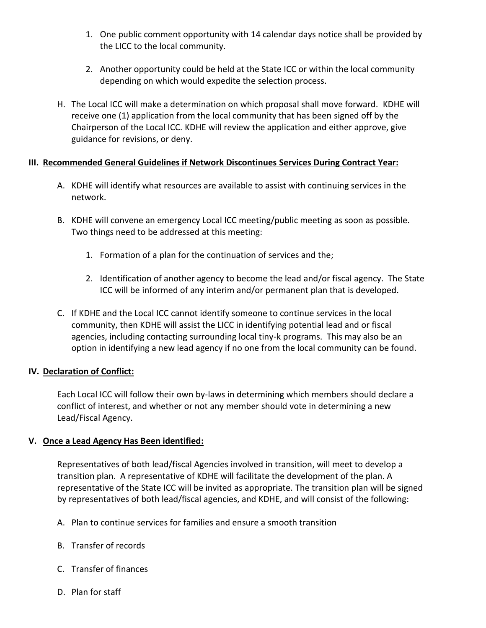- 1. One public comment opportunity with 14 calendar days notice shall be provided by the LICC to the local community.
- 2. Another opportunity could be held at the State ICC or within the local community depending on which would expedite the selection process.
- H. The Local ICC will make a determination on which proposal shall move forward. KDHE will receive one (1) application from the local community that has been signed off by the Chairperson of the Local ICC. KDHE will review the application and either approve, give guidance for revisions, or deny.

## **III. Recommended General Guidelines if Network Discontinues Services During Contract Year:**

- A. KDHE will identify what resources are available to assist with continuing services in the network.
- B. KDHE will convene an emergency Local ICC meeting/public meeting as soon as possible. Two things need to be addressed at this meeting:
	- 1. Formation of a plan for the continuation of services and the;
	- 2. Identification of another agency to become the lead and/or fiscal agency. The State ICC will be informed of any interim and/or permanent plan that is developed.
- C. If KDHE and the Local ICC cannot identify someone to continue services in the local community, then KDHE will assist the LICC in identifying potential lead and or fiscal agencies, including contacting surrounding local tiny-k programs. This may also be an option in identifying a new lead agency if no one from the local community can be found.

# **IV. Declaration of Conflict:**

Each Local ICC will follow their own by-laws in determining which members should declare a conflict of interest, and whether or not any member should vote in determining a new Lead/Fiscal Agency.

# **V. Once a Lead Agency Has Been identified:**

Representatives of both lead/fiscal Agencies involved in transition, will meet to develop a transition plan. A representative of KDHE will facilitate the development of the plan. A representative of the State ICC will be invited as appropriate. The transition plan will be signed by representatives of both lead/fiscal agencies, and KDHE, and will consist of the following:

- A. Plan to continue services for families and ensure a smooth transition
- B. Transfer of records
- C. Transfer of finances
- D. Plan for staff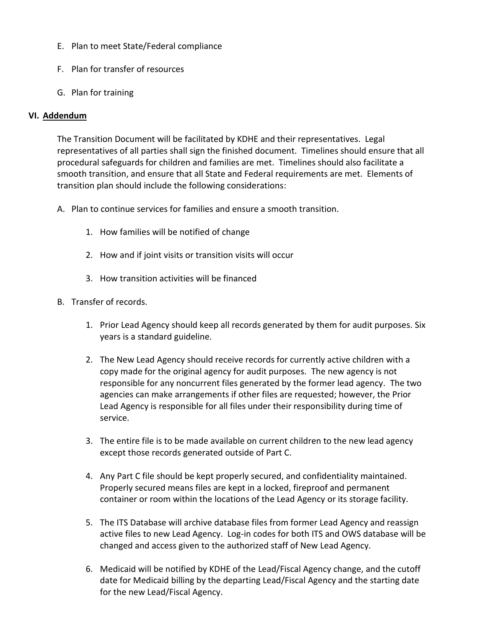- E. Plan to meet State/Federal compliance
- F. Plan for transfer of resources
- G. Plan for training

## **VI. Addendum**

The Transition Document will be facilitated by KDHE and their representatives. Legal representatives of all parties shall sign the finished document. Timelines should ensure that all procedural safeguards for children and families are met. Timelines should also facilitate a smooth transition, and ensure that all State and Federal requirements are met. Elements of transition plan should include the following considerations:

- A. Plan to continue services for families and ensure a smooth transition.
	- 1. How families will be notified of change
	- 2. How and if joint visits or transition visits will occur
	- 3. How transition activities will be financed
- B. Transfer of records.
	- 1. Prior Lead Agency should keep all records generated by them for audit purposes. Six years is a standard guideline.
	- 2. The New Lead Agency should receive records for currently active children with a copy made for the original agency for audit purposes. The new agency is not responsible for any noncurrent files generated by the former lead agency. The two agencies can make arrangements if other files are requested; however, the Prior Lead Agency is responsible for all files under their responsibility during time of service.
	- 3. The entire file is to be made available on current children to the new lead agency except those records generated outside of Part C.
	- 4. Any Part C file should be kept properly secured, and confidentiality maintained. Properly secured means files are kept in a locked, fireproof and permanent container or room within the locations of the Lead Agency or its storage facility.
	- 5. The ITS Database will archive database files from former Lead Agency and reassign active files to new Lead Agency. Log-in codes for both ITS and OWS database will be changed and access given to the authorized staff of New Lead Agency.
	- 6. Medicaid will be notified by KDHE of the Lead/Fiscal Agency change, and the cutoff date for Medicaid billing by the departing Lead/Fiscal Agency and the starting date for the new Lead/Fiscal Agency.